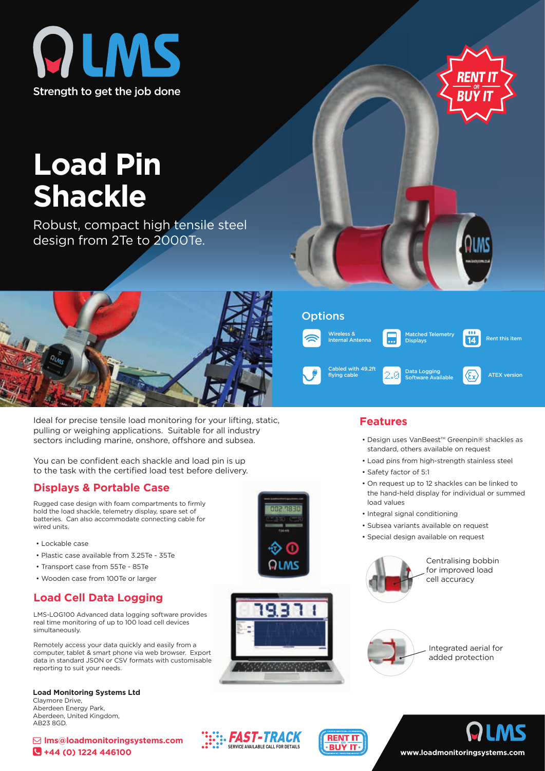



# **Load Pin Shackle**

Robust, compact high tensile steel design from 2Te to 2000Te.



Ideal for precise tensile load monitoring for your lifting, static, pulling or weighing applications. Suitable for all industry sectors including marine, onshore, offshore and subsea.

You can be confident each shackle and load pin is up to the task with the certified load test before delivery.

#### **Displays & Portable Case**

Rugged case design with foam compartments to firmly hold the load shackle, telemetry display, spare set of batteries. Can also accommodate connecting cable for wired units.

- Lockable case
- Plastic case available from 3.25Te 35Te
- Transport case from 55Te 85Te
- Wooden case from 100Te or larger

## **Load Cell Data Logging**

LMS-LOG100 Advanced data logging software provides real time monitoring of up to 100 load cell devices simultaneously.

Remotely access your data quickly and easily from a computer, tablet & smart phone via web browser. Export data in standard JSON or CSV formats with customisable reporting to suit your needs.

**Load Monitoring Systems Ltd** Claymore Drive, Aberdeen Energy Park, Aberdeen, United Kingdom, AB23 8GD.







# **Features**

Wireless & Internal Antenna

**Options** 

Cabled with 49.2ft

- Design uses VanBeest™ Greenpin® shackles as standard, others available on request
- Load pins from high-strength stainless steel

Cabled With 49.21t<br> **Flying cable Software Available ATEX version** 

latched Telemetry Displays

Rent this item

 $\overline{14}$ 

- Safety factor of 5:1
- On request up to 12 shackles can be linked to the hand-held display for individual or summed load values
- Integral signal conditioning
- Subsea variants available on request
- Special design available on request



Centralising bobbin for improved load cell accuracy



Integrated aerial for added protection





# **www.loadmonitoringsystems.com**